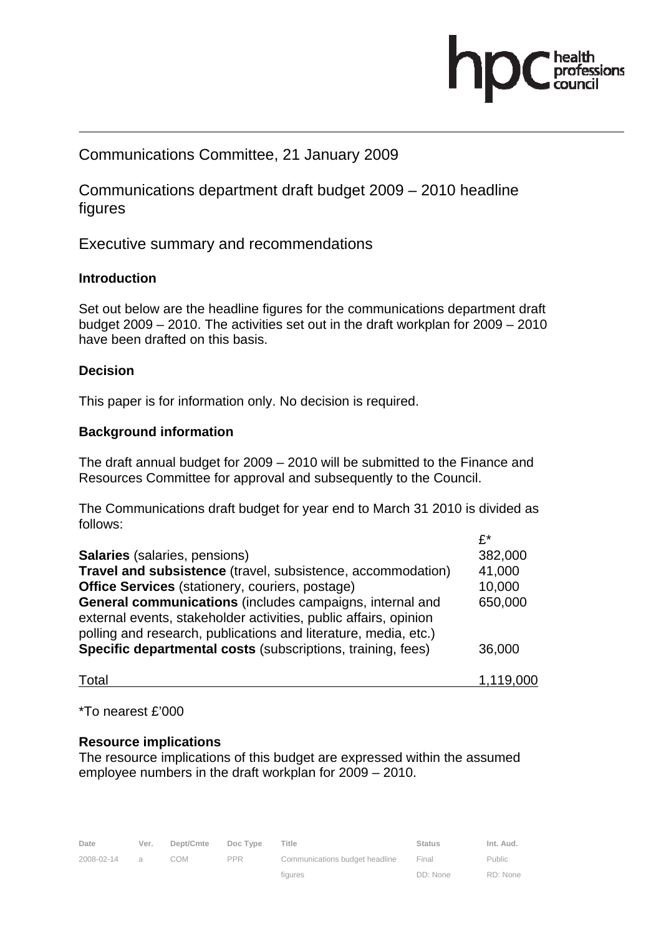

# Communications Committee, 21 January 2009

Communications department draft budget 2009 – 2010 headline figures

Executive summary and recommendations

# **Introduction**

Set out below are the headline figures for the communications department draft budget 2009 – 2010. The activities set out in the draft workplan for 2009 – 2010 have been drafted on this basis.

# **Decision**

This paper is for information only. No decision is required.

# **Background information**

The draft annual budget for 2009 – 2010 will be submitted to the Finance and Resources Committee for approval and subsequently to the Council.

The Communications draft budget for year end to March 31 2010 is divided as follows:

|                                                                    | $f^*$   |
|--------------------------------------------------------------------|---------|
| <b>Salaries</b> (salaries, pensions)                               | 382,000 |
| Travel and subsistence (travel, subsistence, accommodation)        | 41,000  |
| <b>Office Services</b> (stationery, couriers, postage)             | 10,000  |
| General communications (includes campaigns, internal and           | 650,000 |
| external events, stakeholder activities, public affairs, opinion   |         |
| polling and research, publications and literature, media, etc.)    |         |
| <b>Specific departmental costs (subscriptions, training, fees)</b> | 36,000  |
|                                                                    |         |

Total 1,119,000

\*To nearest £'000

# **Resource implications**

The resource implications of this budget are expressed within the assumed employee numbers in the draft workplan for 2009 – 2010.